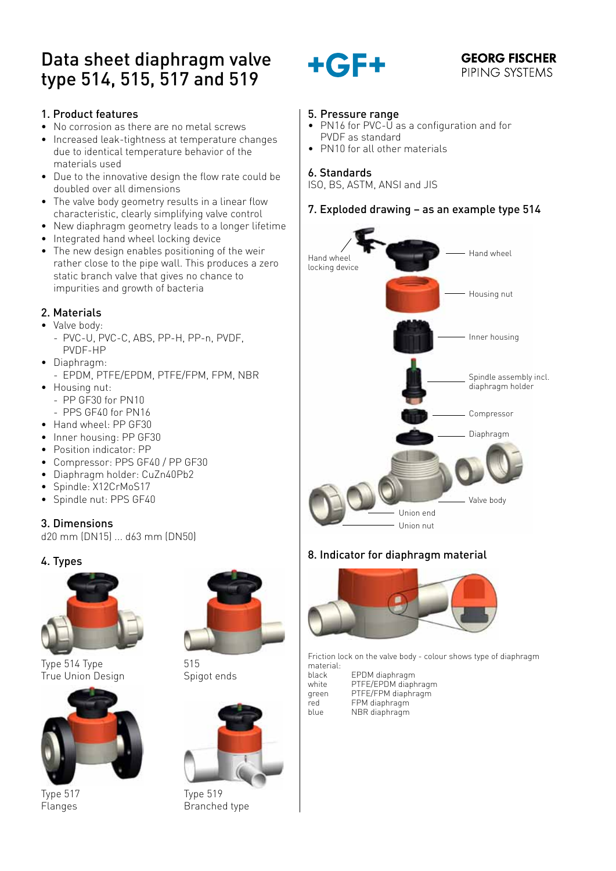# Data sheet diaphragm valve type 514, 515, 517 and 519

## 1. Product features

- No corrosion as there are no metal screws
- Increased leak-tightness at temperature changes due to identical temperature behavior of the materials used
- Due to the innovative design the flow rate could be doubled over all dimensions
- The valve body geometry results in a linear flow characteristic, clearly simplifying valve control
- New diaphragm geometry leads to a longer lifetime
- Integrated hand wheel locking device
- The new design enables positioning of the weir rather close to the pipe wall. This produces a zero static branch valve that gives no chance to impurities and growth of bacteria

## 2. Materials

- Valve body
	- $PVC-U.PVC-C, ABS, PP-H, PP-n, PVDF,$  PVDF-HP
- Diaphragm:
- EPDM, PTFE/EPDM, PTFE/FPM, FPM, NBR
- $\bullet$  Housing nut:
	- PP GF30 for PN10
	- PPS GF40 for PN16
- $\bullet$  Hand wheel: PP GF30
- Inner housing: PP GF30
- Position indicator: PP
- Compressor: PPS GF40 / PP GF30
- Diaphragm holder: CuZn40Pb2
- Spindle: X12CrMoS17
- Spindle nut: PPS GF40

# 3. Dimensions

d20 mm (DN15) ... d63 mm (DN50)

# 4. Types



Type 514 Type 515 True Union Design Spigot ends



Type 517 Type 519





Flanges **Branched** type



# **GEORG FISCHER** PIPING SYSTEMS

#### 5. Pressure range

- PN16 for PVC-U as a configuration and for PVDF as standard
- PN10 for all other materials

## 6. Standards

ISO, BS, ASTM, ANSI and JIS

## 7. Exploded drawing – as an example type 514



# 8. Indicator for diaphragm material



Friction lock on the valve body - colour shows type of diaphragm material:

black EPDM diaphragm white PTFE/EPDM diaphragm<br>green PTFE/FPM diaphragm PTFE/FPM diaphragm red FPM diaphragm blue **NBR** diaphragm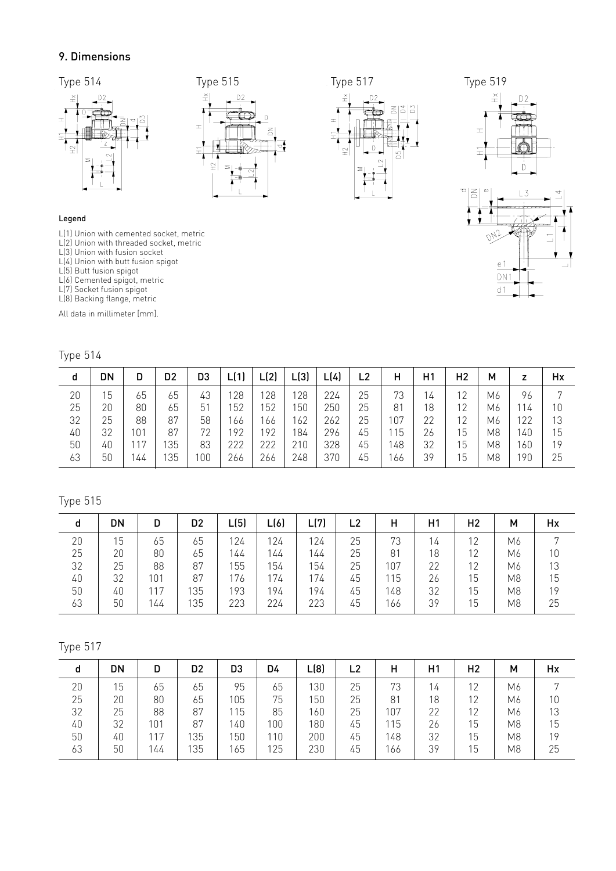## 9. Dimensions







#### Legend

L(1) Union with cemented socket, metric

L(2) Union with threaded socket, metric

L(3) Union with fusion socket

L(4) Union with butt fusion spigot

L(5) Butt fusion spigot

L(6) Cemented spigot, metric

L(7) Socket fusion spigot L(8) Backing flange, metric

All data in millimeter [mm].

# Type 514

| d  | DN | D   | D <sub>2</sub> | D3  | L(1) | L(2) | L(3) | L(4) | L <sub>2</sub> | н    | H <sub>1</sub> | H <sub>2</sub> | м  | z    | Hx           |
|----|----|-----|----------------|-----|------|------|------|------|----------------|------|----------------|----------------|----|------|--------------|
| 20 | 15 | 65  | 65             | 43  | 128  | 128  | 28   | 224  | 25             | 73   | 14             | 12             | M6 | 96   | $\mathbf{r}$ |
| 25 | 20 | 80  | 65             | 51  | 152  | 152  | 150  | 250  | 25             | 81   | 18             | 12             | Μ6 | ' 14 | 10           |
| 32 | 25 | 88  | 87             | 58  | 166  | 66   | 162  | 262  | 25             | 107  | 22             | 12             | Μ6 | 122  | 13           |
| 40 | 32 | 101 | 87             | 72  | 192  | 192  | 184  | 296  | 45             | 15   | 26             | 15             | M8 | 140  | 15           |
| 50 | 40 | 17  | 35             | 83  | 222  | 222  | 210  | 328  | 45             | 148  | 32             | 15             | M8 | 160  | 19           |
| 63 | 50 | '44 | 35             | 100 | 266  | 266  | 248  | 370  | 45             | i 66 | 39             | 15             | M8 | 190  | 25           |
|    |    |     |                |     |      |      |      |      |                |      |                |                |    |      |              |

# Type 515

| d  | DN | D   | D2  | L(5) | L(6) | L(7) | L2 | н   | H1 | H <sub>2</sub> | М              | Hx |
|----|----|-----|-----|------|------|------|----|-----|----|----------------|----------------|----|
| 20 | 15 | 65  | 65  | 124  | 124  | 124  | 25 | 73  | 14 | 12             | M6             |    |
| 25 | 20 | 80  | 65  | 144  | 144  | 144  | 25 | 81  | 18 | 12             | M6             | 10 |
| 32 | 25 | 88  | 87  | 155  | 154  | 154  | 25 | 107 | 22 | 12             | M6             | 13 |
| 40 | 32 | 101 | 87  | 176  | 174  | 174  | 45 | 115 | 26 | 15             | M <sub>8</sub> | 15 |
| 50 | 40 | 17  | 135 | 193  | 194  | 194  | 45 | 148 | 32 | 15             | M <sub>8</sub> | 19 |
| 63 | 50 | 144 | 135 | 223  | 224  | 223  | 45 | 166 | 39 | 15             | M <sub>8</sub> | 25 |

# Type 517

| d  | DN | D   | D <sub>2</sub> | D <sub>3</sub> | D4  | L(8) | L2 | н   | H1 | H <sub>2</sub> | М              | Hx |
|----|----|-----|----------------|----------------|-----|------|----|-----|----|----------------|----------------|----|
| 20 | 15 | 65  | 65             | 95             | 65  | 130  | 25 | 73  | 14 | 12             | M6             |    |
| 25 | 20 | 80  | 65             | 105            | 75  | 150  | 25 | 81  | 18 | 12             | M6             | 10 |
| 32 | 25 | 88  | 87             | 115            | 85  | 160  | 25 | 107 | 22 | 12             | M6             | 13 |
| 40 | 32 | 101 | 87             | 140            | 100 | 180  | 45 | 15  | 26 | 15             | M <sub>8</sub> | 15 |
| 50 | 40 | 117 | 135            | 150            | 110 | 200  | 45 | 148 | 32 | 15             | M <sub>8</sub> | 19 |
| 63 | 50 | 144 | 135            | 165            | 125 | 230  | 45 | 166 | 39 | 15             | M <sub>8</sub> | 25 |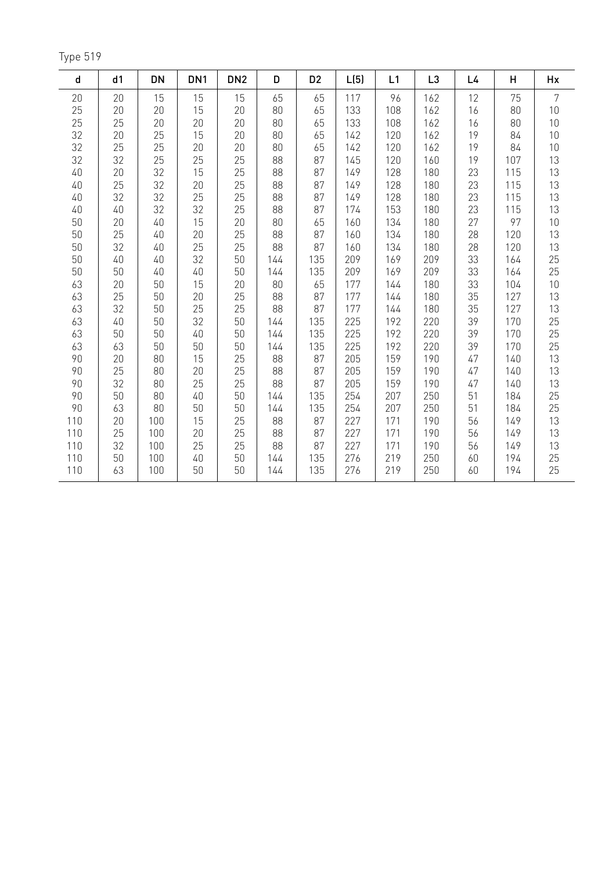Type 519

| d   | d <sub>1</sub> | <b>DN</b> | DN <sub>1</sub> | DN <sub>2</sub> | D      | D <sub>2</sub> | L(5) | L1  | L <sub>3</sub> | L <sub>4</sub> | H   | Hx             |
|-----|----------------|-----------|-----------------|-----------------|--------|----------------|------|-----|----------------|----------------|-----|----------------|
| 20  | 20             | 15        | 15              | 15              | 65     | 65             | 117  | 96  | 162            | 12             | 75  | $\overline{7}$ |
| 25  | 20             | 20        | 15              | 20              | 80     | 65             | 133  | 108 | 162            | 16             | 80  | $10\,$         |
| 25  | 25             | 20        | 20              | 20              | 80     | 65             | 133  | 108 | 162            | 16             | 80  | $10\,$         |
| 32  | 20             | 25        | 15              | 20              | $80\,$ | 65             | 142  | 120 | 162            | 19             | 84  | 10             |
| 32  | 25             | 25        | 20              | 20              | 80     | 65             | 142  | 120 | 162            | 19             | 84  | 10             |
| 32  | 32             | 25        | 25              | 25              | 88     | 87             | 145  | 120 | 160            | 19             | 107 | 13             |
| 40  | 20             | 32        | 15              | 25              | 88     | 87             | 149  | 128 | 180            | 23             | 115 | $13\,$         |
| 40  | 25             | 32        | 20              | 25              | 88     | 87             | 149  | 128 | 180            | 23             | 115 | 13             |
| 40  | 32             | 32        | 25              | 25              | 88     | 87             | 149  | 128 | 180            | 23             | 115 | $13\,$         |
| 40  | 40             | 32        | 32              | 25              | 88     | 87             | 174  | 153 | 180            | 23             | 115 | 13             |
| 50  | 20             | 40        | 15              | 20              | 80     | 65             | 160  | 134 | 180            | 27             | 97  | $10\,$         |
| 50  | 25             | 40        | 20              | 25              | 88     | 87             | 160  | 134 | 180            | 28             | 120 | 13             |
| 50  | 32             | 40        | 25              | 25              | 88     | 87             | 160  | 134 | 180            | 28             | 120 | 13             |
| 50  | 40             | 40        | 32              | 50              | 144    | 135            | 209  | 169 | 209            | 33             | 164 | 25             |
| 50  | 50             | 40        | $40\,$          | 50              | 144    | 135            | 209  | 169 | 209            | 33             | 164 | 25             |
| 63  | 20             | 50        | 15              | 20              | $80\,$ | 65             | 177  | 144 | 180            | 33             | 104 | $10\,$         |
| 63  | 25             | 50        | 20              | 25              | 88     | 87             | 177  | 144 | 180            | 35             | 127 | $13\,$         |
| 63  | 32             | 50        | 25              | 25              | 88     | 87             | 177  | 144 | 180            | 35             | 127 | 13             |
| 63  | 40             | 50        | 32              | 50              | 144    | 135            | 225  | 192 | 220            | 39             | 170 | 25             |
| 63  | 50             | 50        | 40              | 50              | 144    | 135            | 225  | 192 | 220            | 39             | 170 | 25             |
| 63  | 63             | 50        | 50              | 50              | 144    | 135            | 225  | 192 | 220            | 39             | 170 | 25             |
| 90  | 20             | 80        | 15              | 25              | 88     | 87             | 205  | 159 | 190            | 47             | 140 | 13             |
| 90  | 25             | 80        | 20              | 25              | 88     | 87             | 205  | 159 | 190            | $47\,$         | 140 | $13\,$         |
| 90  | 32             | 80        | 25              | 25              | 88     | 87             | 205  | 159 | 190            | $47\,$         | 140 | 13             |
| 90  | 50             | 80        | 40              | 50              | 144    | 135            | 254  | 207 | 250            | 51             | 184 | 25             |
| 90  | 63             | 80        | 50              | 50              | 144    | 135            | 254  | 207 | 250            | 51             | 184 | 25             |
| 110 | 20             | 100       | 15              | 25              | 88     | 87             | 227  | 171 | 190            | 56             | 149 | $13\,$         |
| 110 | 25             | 100       | 20              | 25              | 88     | 87             | 227  | 171 | 190            | 56             | 149 | 13             |
| 110 | 32             | 100       | 25              | 25              | 88     | 87             | 227  | 171 | 190            | 56             | 149 | 13             |
| 110 | 50             | 100       | 40              | 50              | 144    | 135            | 276  | 219 | 250            | 60             | 194 | 25             |
| 110 | 63             | 100       | 50              | 50              | 144    | 135            | 276  | 219 | 250            | 60             | 194 | 25             |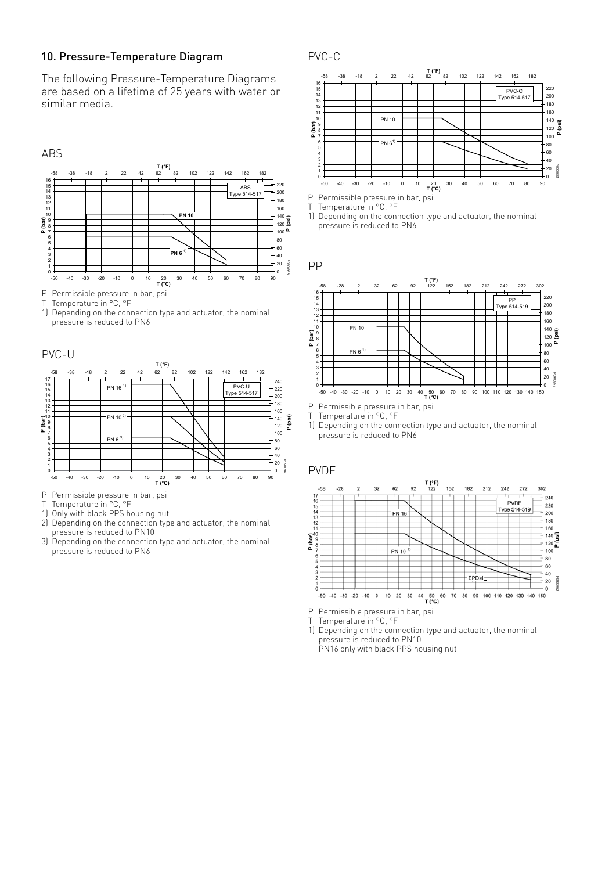#### 10. Pressure-Temperature Diagram

The following Pressure-Temperature Diagrams are based on a lifetime of 25 years with water or similar media.



P Permissible pressure in bar, psi

T Temperature in °C, °F

1) Depending on the connection type and actuator, the nominal pressure is reduced to PN6



- P Permissible pressure in bar, psi<br>  $T$  Temperature in  ${}^{\circ}C$   ${}^{\circ}F$
- Temperature in °C, °F
- 1) Only with black PPS housing nut
- 2) Depending on the connection type and actuator, the nominal pressure is reduced to PN10
- 3) Depending on the connection type and actuator, the nominal pressure is reduced to PN6

PVC-C



P Permissible pressure in bar, psi

T Temperature in °C, °F

1) Depending on the connection type and actuator, the nominal pressure is reduced to PN6

PP



P Permissible pressure in bar, psi

T Temperature in °C, °F

1) Depending on the connection type and actuator, the nominal pressure is reduced to PN6

#### PVDF

**P (psi)**



P Permissible pressure in bar, psi

T Temperature in °C, °F

1) Depending on the connection type and actuator, the nominal pressure is reduced to PN10 PN16 only with black PPS housing nut